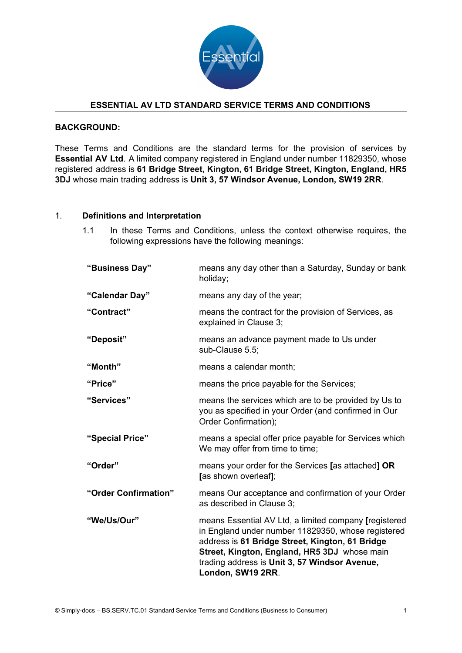

#### **ESSENTIAL AV LTD STANDARD SERVICE TERMS AND CONDITIONS**

## **BACKGROUND:**

These Terms and Conditions are the standard terms for the provision of services by **Essential AV Ltd**. A limited company registered in England under number 11829350, whose registered address is **61 Bridge Street, Kington, 61 Bridge Street, Kington, England, HR5 3DJ** whose main trading address is **Unit 3, 57 Windsor Avenue, London, SW19 2RR**.

#### 1. **Definitions and Interpretation**

1.1 In these Terms and Conditions, unless the context otherwise requires, the following expressions have the following meanings:

| "Business Day"       | means any day other than a Saturday, Sunday or bank<br>holiday;                                                                                                                                                                                                                      |
|----------------------|--------------------------------------------------------------------------------------------------------------------------------------------------------------------------------------------------------------------------------------------------------------------------------------|
| "Calendar Day"       | means any day of the year;                                                                                                                                                                                                                                                           |
| "Contract"           | means the contract for the provision of Services, as<br>explained in Clause 3;                                                                                                                                                                                                       |
| "Deposit"            | means an advance payment made to Us under<br>sub-Clause 5.5;                                                                                                                                                                                                                         |
| "Month"              | means a calendar month;                                                                                                                                                                                                                                                              |
| "Price"              | means the price payable for the Services;                                                                                                                                                                                                                                            |
| "Services"           | means the services which are to be provided by Us to<br>you as specified in your Order (and confirmed in Our<br>Order Confirmation);                                                                                                                                                 |
| "Special Price"      | means a special offer price payable for Services which<br>We may offer from time to time;                                                                                                                                                                                            |
| "Order"              | means your order for the Services [as attached] OR<br>[as shown overleaf];                                                                                                                                                                                                           |
| "Order Confirmation" | means Our acceptance and confirmation of your Order<br>as described in Clause 3;                                                                                                                                                                                                     |
| "We/Us/Our"          | means Essential AV Ltd, a limited company [registered<br>in England under number 11829350, whose registered<br>address is 61 Bridge Street, Kington, 61 Bridge<br>Street, Kington, England, HR5 3DJ whose main<br>trading address is Unit 3, 57 Windsor Avenue,<br>London, SW19 2RR. |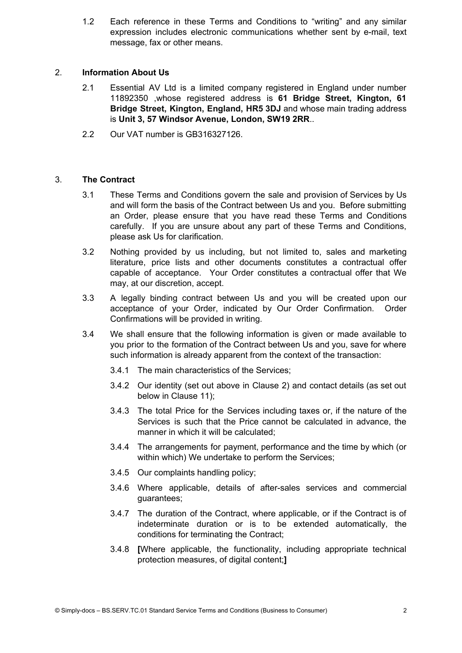1.2 Each reference in these Terms and Conditions to "writing" and any similar expression includes electronic communications whether sent by e-mail, text message, fax or other means.

## 2. **Information About Us**

- 2.1 Essential AV Ltd is a limited company registered in England under number 11892350 ,whose registered address is **61 Bridge Street, Kington, 61 Bridge Street, Kington, England, HR5 3DJ** and whose main trading address is **Unit 3, 57 Windsor Avenue, London, SW19 2RR**..
- 2.2 Our VAT number is GB316327126.

# 3. **The Contract**

- 3.1 These Terms and Conditions govern the sale and provision of Services by Us and will form the basis of the Contract between Us and you. Before submitting an Order, please ensure that you have read these Terms and Conditions carefully. If you are unsure about any part of these Terms and Conditions, please ask Us for clarification.
- 3.2 Nothing provided by us including, but not limited to, sales and marketing literature, price lists and other documents constitutes a contractual offer capable of acceptance. Your Order constitutes a contractual offer that We may, at our discretion, accept.
- 3.3 A legally binding contract between Us and you will be created upon our acceptance of your Order, indicated by Our Order Confirmation. Order Confirmations will be provided in writing.
- 3.4 We shall ensure that the following information is given or made available to you prior to the formation of the Contract between Us and you, save for where such information is already apparent from the context of the transaction:
	- 3.4.1 The main characteristics of the Services;
	- 3.4.2 Our identity (set out above in Clause 2) and contact details (as set out below in Clause 11);
	- 3.4.3 The total Price for the Services including taxes or, if the nature of the Services is such that the Price cannot be calculated in advance, the manner in which it will be calculated;
	- 3.4.4 The arrangements for payment, performance and the time by which (or within which) We undertake to perform the Services;
	- 3.4.5 Our complaints handling policy;
	- 3.4.6 Where applicable, details of after-sales services and commercial guarantees;
	- 3.4.7 The duration of the Contract, where applicable, or if the Contract is of indeterminate duration or is to be extended automatically, the conditions for terminating the Contract;
	- 3.4.8 **[**Where applicable, the functionality, including appropriate technical protection measures, of digital content;**]**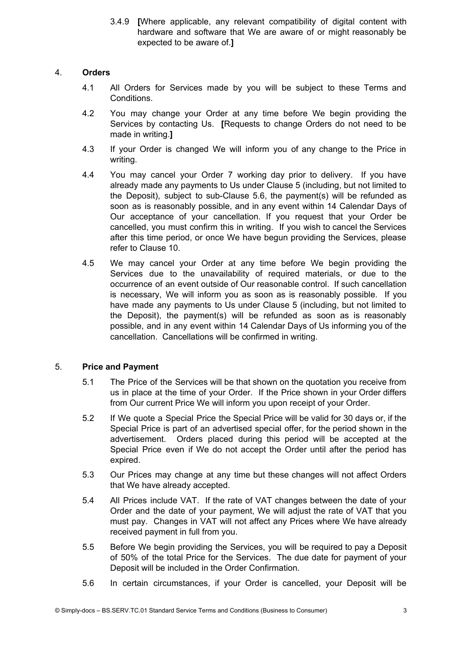3.4.9 **[**Where applicable, any relevant compatibility of digital content with hardware and software that We are aware of or might reasonably be expected to be aware of.**]**

## 4. **Orders**

- 4.1 All Orders for Services made by you will be subject to these Terms and Conditions.
- 4.2 You may change your Order at any time before We begin providing the Services by contacting Us. **[**Requests to change Orders do not need to be made in writing.**]**
- 4.3 If your Order is changed We will inform you of any change to the Price in writing.
- 4.4 You may cancel your Order 7 working day prior to delivery. If you have already made any payments to Us under Clause 5 (including, but not limited to the Deposit), subject to sub-Clause 5.6, the payment(s) will be refunded as soon as is reasonably possible, and in any event within 14 Calendar Days of Our acceptance of your cancellation. If you request that your Order be cancelled, you must confirm this in writing. If you wish to cancel the Services after this time period, or once We have begun providing the Services, please refer to Clause 10.
- 4.5 We may cancel your Order at any time before We begin providing the Services due to the unavailability of required materials, or due to the occurrence of an event outside of Our reasonable control. If such cancellation is necessary, We will inform you as soon as is reasonably possible. If you have made any payments to Us under Clause 5 (including, but not limited to the Deposit), the payment(s) will be refunded as soon as is reasonably possible, and in any event within 14 Calendar Days of Us informing you of the cancellation. Cancellations will be confirmed in writing.

# 5. **Price and Payment**

- 5.1 The Price of the Services will be that shown on the quotation you receive from us in place at the time of your Order. If the Price shown in your Order differs from Our current Price We will inform you upon receipt of your Order.
- 5.2 If We quote a Special Price the Special Price will be valid for 30 days or, if the Special Price is part of an advertised special offer, for the period shown in the advertisement. Orders placed during this period will be accepted at the Special Price even if We do not accept the Order until after the period has expired.
- 5.3 Our Prices may change at any time but these changes will not affect Orders that We have already accepted.
- 5.4 All Prices include VAT. If the rate of VAT changes between the date of your Order and the date of your payment, We will adjust the rate of VAT that you must pay. Changes in VAT will not affect any Prices where We have already received payment in full from you.
- 5.5 Before We begin providing the Services, you will be required to pay a Deposit of 50% of the total Price for the Services. The due date for payment of your Deposit will be included in the Order Confirmation.
- 5.6 In certain circumstances, if your Order is cancelled, your Deposit will be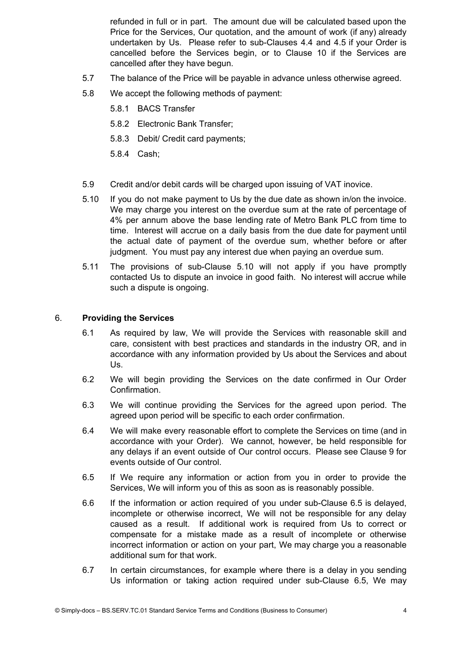refunded in full or in part. The amount due will be calculated based upon the Price for the Services, Our quotation, and the amount of work (if any) already undertaken by Us. Please refer to sub-Clauses 4.4 and 4.5 if your Order is cancelled before the Services begin, or to Clause 10 if the Services are cancelled after they have begun.

- 5.7 The balance of the Price will be payable in advance unless otherwise agreed.
- 5.8 We accept the following methods of payment:
	- 5.8.1 BACS Transfer
	- 5.8.2 Electronic Bank Transfer;
	- 5.8.3 Debit/ Credit card payments;
	- 5.8.4 Cash;
- 5.9 Credit and/or debit cards will be charged upon issuing of VAT inovice.
- 5.10 If you do not make payment to Us by the due date as shown in/on the invoice. We may charge you interest on the overdue sum at the rate of percentage of 4% per annum above the base lending rate of Metro Bank PLC from time to time. Interest will accrue on a daily basis from the due date for payment until the actual date of payment of the overdue sum, whether before or after judgment. You must pay any interest due when paying an overdue sum.
- 5.11 The provisions of sub-Clause 5.10 will not apply if you have promptly contacted Us to dispute an invoice in good faith. No interest will accrue while such a dispute is ongoing.

#### 6. **Providing the Services**

- 6.1 As required by law, We will provide the Services with reasonable skill and care, consistent with best practices and standards in the industry OR, and in accordance with any information provided by Us about the Services and about Us.
- 6.2 We will begin providing the Services on the date confirmed in Our Order Confirmation.
- 6.3 We will continue providing the Services for the agreed upon period. The agreed upon period will be specific to each order confirmation.
- 6.4 We will make every reasonable effort to complete the Services on time (and in accordance with your Order). We cannot, however, be held responsible for any delays if an event outside of Our control occurs. Please see Clause 9 for events outside of Our control.
- 6.5 If We require any information or action from you in order to provide the Services, We will inform you of this as soon as is reasonably possible.
- 6.6 If the information or action required of you under sub-Clause 6.5 is delayed, incomplete or otherwise incorrect, We will not be responsible for any delay caused as a result. If additional work is required from Us to correct or compensate for a mistake made as a result of incomplete or otherwise incorrect information or action on your part, We may charge you a reasonable additional sum for that work.
- 6.7 In certain circumstances, for example where there is a delay in you sending Us information or taking action required under sub-Clause 6.5, We may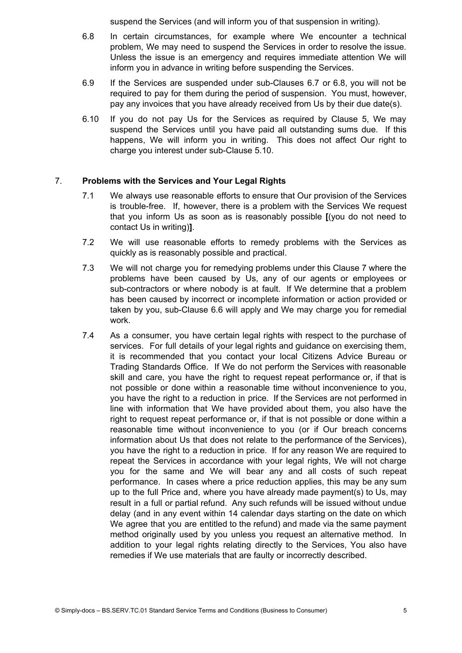suspend the Services (and will inform you of that suspension in writing).

- 6.8 In certain circumstances, for example where We encounter a technical problem, We may need to suspend the Services in order to resolve the issue. Unless the issue is an emergency and requires immediate attention We will inform you in advance in writing before suspending the Services.
- 6.9 If the Services are suspended under sub-Clauses 6.7 or 6.8, you will not be required to pay for them during the period of suspension. You must, however, pay any invoices that you have already received from Us by their due date(s).
- 6.10 If you do not pay Us for the Services as required by Clause 5, We may suspend the Services until you have paid all outstanding sums due. If this happens, We will inform you in writing. This does not affect Our right to charge you interest under sub-Clause 5.10.

## 7. **Problems with the Services and Your Legal Rights**

- 7.1 We always use reasonable efforts to ensure that Our provision of the Services is trouble-free. If, however, there is a problem with the Services We request that you inform Us as soon as is reasonably possible **[**(you do not need to contact Us in writing)**]**.
- 7.2 We will use reasonable efforts to remedy problems with the Services as quickly as is reasonably possible and practical.
- 7.3 We will not charge you for remedying problems under this Clause 7 where the problems have been caused by Us, any of our agents or employees or sub-contractors or where nobody is at fault. If We determine that a problem has been caused by incorrect or incomplete information or action provided or taken by you, sub-Clause 6.6 will apply and We may charge you for remedial work.
- 7.4 As a consumer, you have certain legal rights with respect to the purchase of services. For full details of your legal rights and guidance on exercising them, it is recommended that you contact your local Citizens Advice Bureau or Trading Standards Office. If We do not perform the Services with reasonable skill and care, you have the right to request repeat performance or, if that is not possible or done within a reasonable time without inconvenience to you, you have the right to a reduction in price. If the Services are not performed in line with information that We have provided about them, you also have the right to request repeat performance or, if that is not possible or done within a reasonable time without inconvenience to you (or if Our breach concerns information about Us that does not relate to the performance of the Services), you have the right to a reduction in price. If for any reason We are required to repeat the Services in accordance with your legal rights, We will not charge you for the same and We will bear any and all costs of such repeat performance. In cases where a price reduction applies, this may be any sum up to the full Price and, where you have already made payment(s) to Us, may result in a full or partial refund. Any such refunds will be issued without undue delay (and in any event within 14 calendar days starting on the date on which We agree that you are entitled to the refund) and made via the same payment method originally used by you unless you request an alternative method. In addition to your legal rights relating directly to the Services, You also have remedies if We use materials that are faulty or incorrectly described.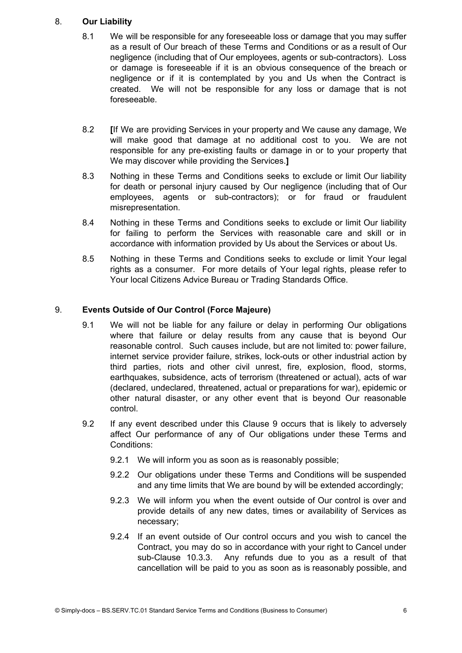## 8. **Our Liability**

- 8.1 We will be responsible for any foreseeable loss or damage that you may suffer as a result of Our breach of these Terms and Conditions or as a result of Our negligence (including that of Our employees, agents or sub-contractors). Loss or damage is foreseeable if it is an obvious consequence of the breach or negligence or if it is contemplated by you and Us when the Contract is created. We will not be responsible for any loss or damage that is not foreseeable.
- 8.2 **[**If We are providing Services in your property and We cause any damage, We will make good that damage at no additional cost to you. We are not responsible for any pre-existing faults or damage in or to your property that We may discover while providing the Services.**]**
- 8.3 Nothing in these Terms and Conditions seeks to exclude or limit Our liability for death or personal injury caused by Our negligence (including that of Our employees, agents or sub-contractors); or for fraud or fraudulent misrepresentation.
- 8.4 Nothing in these Terms and Conditions seeks to exclude or limit Our liability for failing to perform the Services with reasonable care and skill or in accordance with information provided by Us about the Services or about Us.
- 8.5 Nothing in these Terms and Conditions seeks to exclude or limit Your legal rights as a consumer. For more details of Your legal rights, please refer to Your local Citizens Advice Bureau or Trading Standards Office.

# 9. **Events Outside of Our Control (Force Majeure)**

- 9.1 We will not be liable for any failure or delay in performing Our obligations where that failure or delay results from any cause that is beyond Our reasonable control. Such causes include, but are not limited to: power failure, internet service provider failure, strikes, lock-outs or other industrial action by third parties, riots and other civil unrest, fire, explosion, flood, storms, earthquakes, subsidence, acts of terrorism (threatened or actual), acts of war (declared, undeclared, threatened, actual or preparations for war), epidemic or other natural disaster, or any other event that is beyond Our reasonable control.
- 9.2 If any event described under this Clause 9 occurs that is likely to adversely affect Our performance of any of Our obligations under these Terms and Conditions:
	- 9.2.1 We will inform you as soon as is reasonably possible;
	- 9.2.2 Our obligations under these Terms and Conditions will be suspended and any time limits that We are bound by will be extended accordingly;
	- 9.2.3 We will inform you when the event outside of Our control is over and provide details of any new dates, times or availability of Services as necessary;
	- 9.2.4 If an event outside of Our control occurs and you wish to cancel the Contract, you may do so in accordance with your right to Cancel under sub-Clause 10.3.3. Any refunds due to you as a result of that cancellation will be paid to you as soon as is reasonably possible, and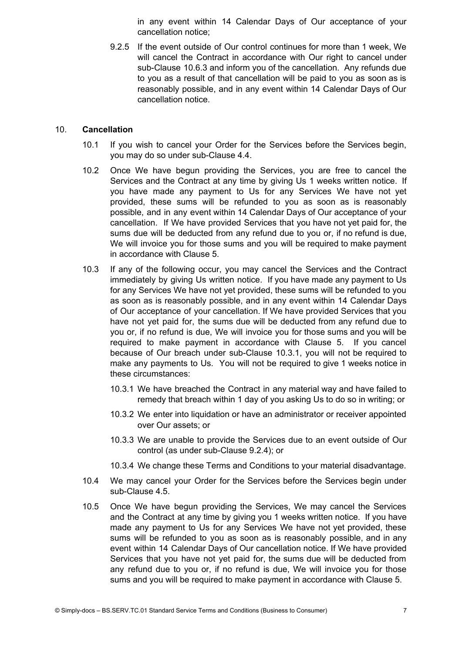in any event within 14 Calendar Days of Our acceptance of your cancellation notice;

9.2.5 If the event outside of Our control continues for more than 1 week, We will cancel the Contract in accordance with Our right to cancel under sub-Clause 10.6.3 and inform you of the cancellation. Any refunds due to you as a result of that cancellation will be paid to you as soon as is reasonably possible, and in any event within 14 Calendar Days of Our cancellation notice.

#### 10. **Cancellation**

- 10.1 If you wish to cancel your Order for the Services before the Services begin, you may do so under sub-Clause 4.4.
- 10.2 Once We have begun providing the Services, you are free to cancel the Services and the Contract at any time by giving Us 1 weeks written notice. If you have made any payment to Us for any Services We have not yet provided, these sums will be refunded to you as soon as is reasonably possible, and in any event within 14 Calendar Days of Our acceptance of your cancellation. If We have provided Services that you have not yet paid for, the sums due will be deducted from any refund due to you or, if no refund is due, We will invoice you for those sums and you will be required to make payment in accordance with Clause 5.
- 10.3 If any of the following occur, you may cancel the Services and the Contract immediately by giving Us written notice. If you have made any payment to Us for any Services We have not yet provided, these sums will be refunded to you as soon as is reasonably possible, and in any event within 14 Calendar Days of Our acceptance of your cancellation. If We have provided Services that you have not yet paid for, the sums due will be deducted from any refund due to you or, if no refund is due, We will invoice you for those sums and you will be required to make payment in accordance with Clause 5. If you cancel because of Our breach under sub-Clause 10.3.1, you will not be required to make any payments to Us. You will not be required to give 1 weeks notice in these circumstances:
	- 10.3.1 We have breached the Contract in any material way and have failed to remedy that breach within 1 day of you asking Us to do so in writing; or
	- 10.3.2 We enter into liquidation or have an administrator or receiver appointed over Our assets; or
	- 10.3.3 We are unable to provide the Services due to an event outside of Our control (as under sub-Clause 9.2.4); or
	- 10.3.4 We change these Terms and Conditions to your material disadvantage.
- 10.4 We may cancel your Order for the Services before the Services begin under sub-Clause 4.5.
- 10.5 Once We have begun providing the Services, We may cancel the Services and the Contract at any time by giving you 1 weeks written notice. If you have made any payment to Us for any Services We have not yet provided, these sums will be refunded to you as soon as is reasonably possible, and in any event within 14 Calendar Days of Our cancellation notice. If We have provided Services that you have not yet paid for, the sums due will be deducted from any refund due to you or, if no refund is due, We will invoice you for those sums and you will be required to make payment in accordance with Clause 5.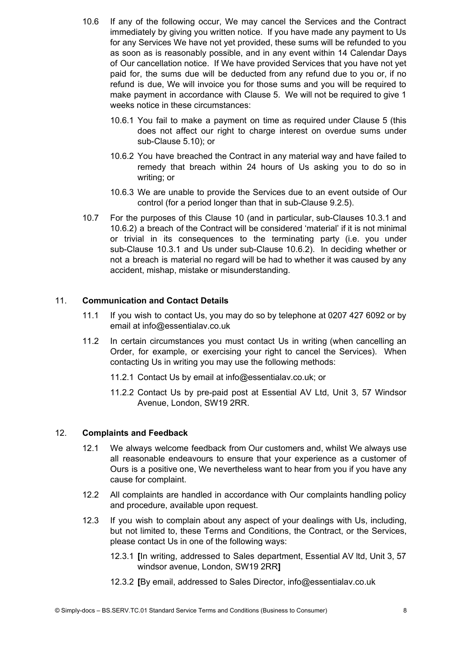- 10.6 If any of the following occur, We may cancel the Services and the Contract immediately by giving you written notice. If you have made any payment to Us for any Services We have not yet provided, these sums will be refunded to you as soon as is reasonably possible, and in any event within 14 Calendar Days of Our cancellation notice. If We have provided Services that you have not yet paid for, the sums due will be deducted from any refund due to you or, if no refund is due, We will invoice you for those sums and you will be required to make payment in accordance with Clause 5. We will not be required to give 1 weeks notice in these circumstances:
	- 10.6.1 You fail to make a payment on time as required under Clause 5 (this does not affect our right to charge interest on overdue sums under sub-Clause 5.10); or
	- 10.6.2 You have breached the Contract in any material way and have failed to remedy that breach within 24 hours of Us asking you to do so in writing; or
	- 10.6.3 We are unable to provide the Services due to an event outside of Our control (for a period longer than that in sub-Clause 9.2.5).
- 10.7 For the purposes of this Clause 10 (and in particular, sub-Clauses 10.3.1 and 10.6.2) a breach of the Contract will be considered 'material' if it is not minimal or trivial in its consequences to the terminating party (i.e. you under sub-Clause 10.3.1 and Us under sub-Clause 10.6.2). In deciding whether or not a breach is material no regard will be had to whether it was caused by any accident, mishap, mistake or misunderstanding.

### 11. **Communication and Contact Details**

- 11.1 If you wish to contact Us, you may do so by telephone at 0207 427 6092 or by email at info@essentialav.co.uk
- 11.2 In certain circumstances you must contact Us in writing (when cancelling an Order, for example, or exercising your right to cancel the Services). When contacting Us in writing you may use the following methods:
	- 11.2.1 Contact Us by email at info@essentialav.co.uk; or
	- 11.2.2 Contact Us by pre-paid post at Essential AV Ltd, Unit 3, 57 Windsor Avenue, London, SW19 2RR.

### 12. **Complaints and Feedback**

- 12.1 We always welcome feedback from Our customers and, whilst We always use all reasonable endeavours to ensure that your experience as a customer of Ours is a positive one, We nevertheless want to hear from you if you have any cause for complaint.
- 12.2 All complaints are handled in accordance with Our complaints handling policy and procedure, available upon request.
- 12.3 If you wish to complain about any aspect of your dealings with Us, including, but not limited to, these Terms and Conditions, the Contract, or the Services, please contact Us in one of the following ways:
	- 12.3.1 **[**In writing, addressed to Sales department, Essential AV ltd, Unit 3, 57 windsor avenue, London, SW19 2RR**]**
	- 12.3.2 **[**By email, addressed to Sales Director, info@essentialav.co.uk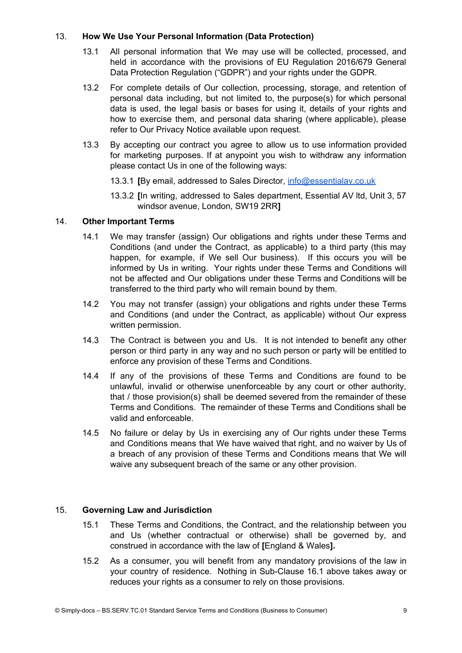## 13. **How We Use Your Personal Information (Data Protection)**

- 13.1 All personal information that We may use will be collected, processed, and held in accordance with the provisions of EU Regulation 2016/679 General Data Protection Regulation ("GDPR") and your rights under the GDPR.
- 13.2 For complete details of Our collection, processing, storage, and retention of personal data including, but not limited to, the purpose(s) for which personal data is used, the legal basis or bases for using it, details of your rights and how to exercise them, and personal data sharing (where applicable), please refer to Our Privacy Notice available upon request.
- 13.3 By accepting our contract you agree to allow us to use information provided for marketing purposes. If at anypoint you wish to withdraw any information please contact Us in one of the following ways:
	- 13.3.1 **[**By email, addressed to Sales Director, [info@essentialav.co.uk](mailto:info@essentialav.co.uk)
	- 13.3.2 **[**In writing, addressed to Sales department, Essential AV ltd, Unit 3, 57 windsor avenue, London, SW19 2RR**]**

## 14. **Other Important Terms**

- 14.1 We may transfer (assign) Our obligations and rights under these Terms and Conditions (and under the Contract, as applicable) to a third party (this may happen, for example, if We sell Our business). If this occurs you will be informed by Us in writing. Your rights under these Terms and Conditions will not be affected and Our obligations under these Terms and Conditions will be transferred to the third party who will remain bound by them.
- 14.2 You may not transfer (assign) your obligations and rights under these Terms and Conditions (and under the Contract, as applicable) without Our express written permission.
- 14.3 The Contract is between you and Us. It is not intended to benefit any other person or third party in any way and no such person or party will be entitled to enforce any provision of these Terms and Conditions.
- 14.4 If any of the provisions of these Terms and Conditions are found to be unlawful, invalid or otherwise unenforceable by any court or other authority, that / those provision(s) shall be deemed severed from the remainder of these Terms and Conditions. The remainder of these Terms and Conditions shall be valid and enforceable.
- 14.5 No failure or delay by Us in exercising any of Our rights under these Terms and Conditions means that We have waived that right, and no waiver by Us of a breach of any provision of these Terms and Conditions means that We will waive any subsequent breach of the same or any other provision.

### 15. **Governing Law and Jurisdiction**

- 15.1 These Terms and Conditions, the Contract, and the relationship between you and Us (whether contractual or otherwise) shall be governed by, and construed in accordance with the law of **[**England & Wales**].**
- 15.2 As a consumer, you will benefit from any mandatory provisions of the law in your country of residence. Nothing in Sub-Clause 16.1 above takes away or reduces your rights as a consumer to rely on those provisions.